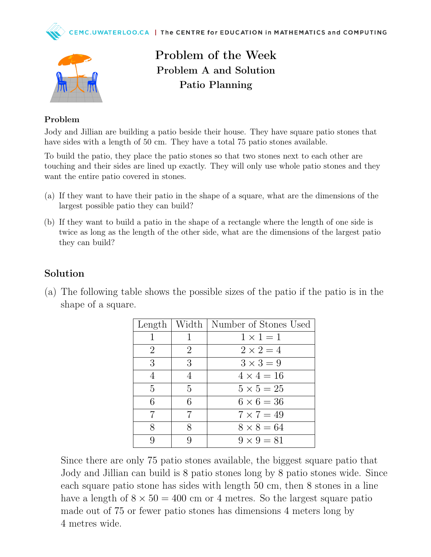



## Problem of the Week Problem A and Solution Patio Planning

## Problem

Jody and Jillian are building a patio beside their house. They have square patio stones that have sides with a length of 50 cm. They have a total 75 patio stones available.

To build the patio, they place the patio stones so that two stones next to each other are touching and their sides are lined up exactly. They will only use whole patio stones and they want the entire patio covered in stones.

- (a) If they want to have their patio in the shape of a square, what are the dimensions of the largest possible patio they can build?
- (b) If they want to build a patio in the shape of a rectangle where the length of one side is twice as long as the length of the other side, what are the dimensions of the largest patio they can build?

## Solution

(a) The following table shows the possible sizes of the patio if the patio is in the shape of a square.

|                |   | Length   Width   Number of Stones Used |
|----------------|---|----------------------------------------|
|                |   | $1 \times 1 = 1$                       |
| $\overline{2}$ | 2 | $2 \times 2 = 4$                       |
| 3              | 3 | $3 \times 3 = 9$                       |
| 4              | 4 | $4 \times 4 = 16$                      |
| $\overline{5}$ | 5 | $5 \times 5 = 25$                      |
| 6              | 6 | $6 \times 6 = 36$                      |
| 7              | 7 | $7 \times 7 = 49$                      |
| 8              | 8 | $8 \times 8 = 64$                      |
|                |   | $9 \times 9 = 81$                      |

Since there are only 75 patio stones available, the biggest square patio that Jody and Jillian can build is 8 patio stones long by 8 patio stones wide. Since each square patio stone has sides with length 50 cm, then 8 stones in a line have a length of  $8 \times 50 = 400$  cm or 4 metres. So the largest square patio made out of 75 or fewer patio stones has dimensions 4 meters long by 4 metres wide.